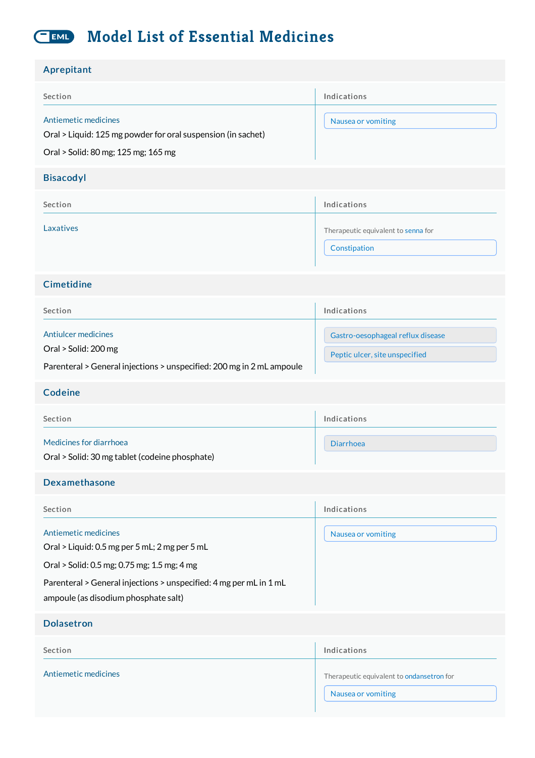#### **Model List of Essential Medicines**  $C$  EML

| Aprepitant                                                                                                                                                                                                                         |                                                                     |
|------------------------------------------------------------------------------------------------------------------------------------------------------------------------------------------------------------------------------------|---------------------------------------------------------------------|
| Section                                                                                                                                                                                                                            | Indications                                                         |
| Antiemetic medicines<br>Oral > Liquid: 125 mg powder for oral suspension (in sachet)                                                                                                                                               | Nausea or vomiting                                                  |
| Oral > Solid: 80 mg; 125 mg; 165 mg                                                                                                                                                                                                |                                                                     |
| <b>Bisacodyl</b>                                                                                                                                                                                                                   |                                                                     |
| Section                                                                                                                                                                                                                            | Indications                                                         |
| Laxatives                                                                                                                                                                                                                          | Therapeutic equivalent to senna for<br>Constipation                 |
| Cimetidine                                                                                                                                                                                                                         |                                                                     |
| Section                                                                                                                                                                                                                            | Indications                                                         |
| <b>Antiulcer medicines</b><br>Oral > Solid: 200 mg<br>Parenteral > General injections > unspecified: 200 mg in 2 mL ampoule                                                                                                        | Gastro-oesophageal reflux disease<br>Peptic ulcer, site unspecified |
| <b>Codeine</b>                                                                                                                                                                                                                     |                                                                     |
| Section                                                                                                                                                                                                                            | Indications                                                         |
| Medicines for diarrhoea<br>Oral > Solid: 30 mg tablet (codeine phosphate)                                                                                                                                                          | <b>Diarrhoea</b>                                                    |
| Dexamethasone                                                                                                                                                                                                                      |                                                                     |
| Section                                                                                                                                                                                                                            | Indications                                                         |
| Antiemetic medicines<br>Oral > Liquid: 0.5 mg per 5 mL; 2 mg per 5 mL<br>Oral > Solid: 0.5 mg; 0.75 mg; 1.5 mg; 4 mg<br>Parenteral > General injections > unspecified: 4 mg per mL in 1 mL<br>ampoule (as disodium phosphate salt) | Nausea or vomiting                                                  |
| <b>Dolasetron</b>                                                                                                                                                                                                                  |                                                                     |
| Section                                                                                                                                                                                                                            | Indications                                                         |
| Antiemetic medicines                                                                                                                                                                                                               | Therapeutic equivalent to ondansetron for<br>Nausea or vomiting     |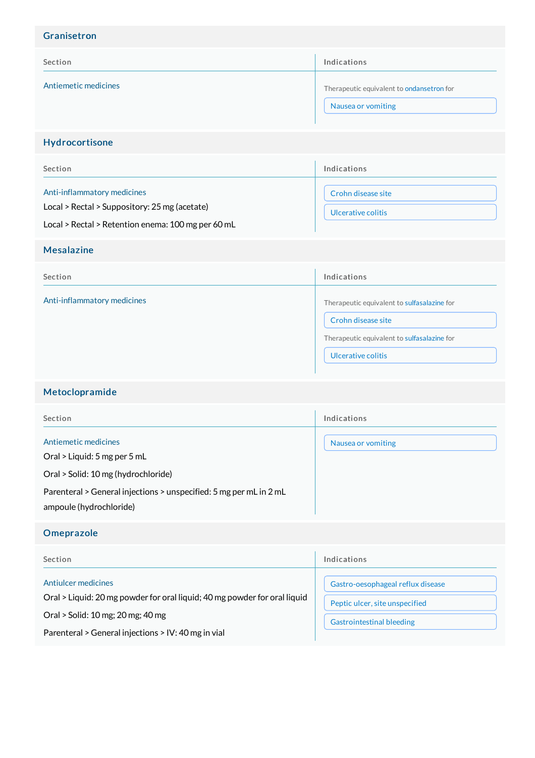| Granisetron                                                                                                                        |                                                                                                                                        |
|------------------------------------------------------------------------------------------------------------------------------------|----------------------------------------------------------------------------------------------------------------------------------------|
| Section                                                                                                                            | Indications                                                                                                                            |
| Antiemetic medicines                                                                                                               | Therapeutic equivalent to ondansetron for<br>Nausea or vomiting                                                                        |
| Hydrocortisone                                                                                                                     |                                                                                                                                        |
| Section                                                                                                                            | Indications                                                                                                                            |
| Anti-inflammatory medicines<br>Local > Rectal > Suppository: 25 mg (acetate)<br>Local > Rectal > Retention enema: 100 mg per 60 mL | Crohn disease site<br>Ulcerative colitis                                                                                               |
| <b>Mesalazine</b>                                                                                                                  |                                                                                                                                        |
| Section                                                                                                                            | Indications                                                                                                                            |
| Anti-inflammatory medicines                                                                                                        | Therapeutic equivalent to sulfasalazine for<br>Crohn disease site<br>Therapeutic equivalent to sulfasalazine for<br>Ulcerative colitis |
| Metoclopramide                                                                                                                     |                                                                                                                                        |
| Section                                                                                                                            | Indications                                                                                                                            |
| Antiemetic medicines                                                                                                               | Nausea or vomiting                                                                                                                     |

Oral > Liquid: 5 mg per 5 mL

Oral > Solid: 10 mg (hydrochloride)

Parenteral > General injections > unspecified: 5 mg per mL in 2 mL ampoule (hydrochloride)

## Omeprazole

| Section                                                                                                                                                                                      | Indications                                                                                             |
|----------------------------------------------------------------------------------------------------------------------------------------------------------------------------------------------|---------------------------------------------------------------------------------------------------------|
| Antiulcer medicines<br>Oral > Liquid: 20 mg powder for oral liquid; 40 mg powder for oral liquid<br>Oral > Solid: 10 mg; 20 mg; 40 mg<br>Parenteral > General injections > IV: 40 mg in vial | Gastro-oesophageal reflux disease<br>Peptic ulcer, site unspecified<br><b>Gastrointestinal bleeding</b> |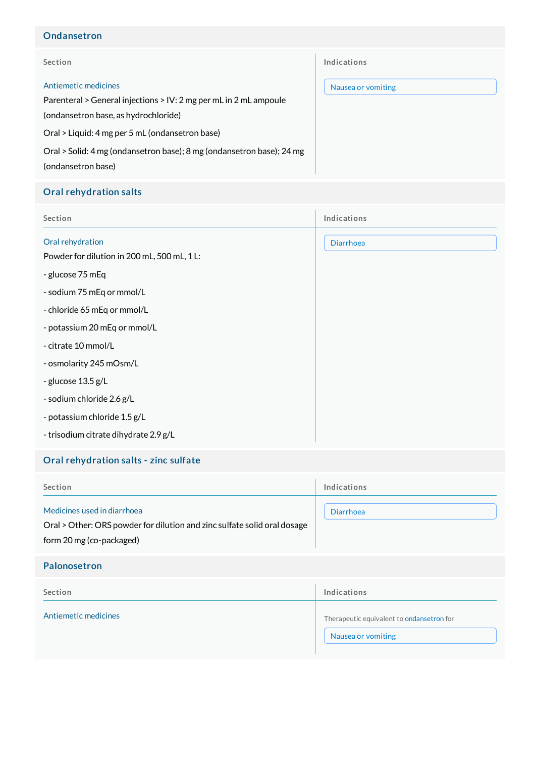# Ondansetron

| Section                                                                                                                                                                                                                                                                             | Indications        |
|-------------------------------------------------------------------------------------------------------------------------------------------------------------------------------------------------------------------------------------------------------------------------------------|--------------------|
| Antiemetic medicines<br>Parenteral > General injections > IV: 2 mg per mL in 2 mL ampoule<br>(ondansetron base, as hydrochloride)<br>Oral > Liquid: 4 mg per 5 mL (ondansetron base)<br>Oral > Solid: 4 mg (ondansetron base); 8 mg (ondansetron base); 24 mg<br>(ondansetron base) | Nausea or vomiting |

# Oral rehydration salts

| Section                                                         | Indications      |
|-----------------------------------------------------------------|------------------|
| Oral rehydration<br>Powder for dilution in 200 mL, 500 mL, 1 L: | <b>Diarrhoea</b> |
| - glucose 75 mEq                                                |                  |
| - sodium 75 mEq or mmol/L                                       |                  |
| - chloride 65 mEq or mmol/L                                     |                  |
| - potassium 20 mEq or mmol/L                                    |                  |
| - citrate 10 mmol/L                                             |                  |
| - osmolarity 245 mOsm/L                                         |                  |
| - glucose 13.5 g/L                                              |                  |
| - sodium chloride 2.6 g/L                                       |                  |
| - potassium chloride 1.5 g/L                                    |                  |
| - trisodium citrate dihydrate 2.9 g/L                           |                  |

# Oral rehydration salts - zinc sulfate

| Section                                                                                                                             | Indications                                                     |
|-------------------------------------------------------------------------------------------------------------------------------------|-----------------------------------------------------------------|
| Medicines used in diarrhoea<br>Oral > Other: ORS powder for dilution and zinc sulfate solid oral dosage<br>form 20 mg (co-packaged) | <b>Diarrhoea</b>                                                |
| Palonosetron                                                                                                                        |                                                                 |
| Section                                                                                                                             | Indications                                                     |
| Antiemetic medicines                                                                                                                | Therapeutic equivalent to ondansetron for<br>Nausea or vomiting |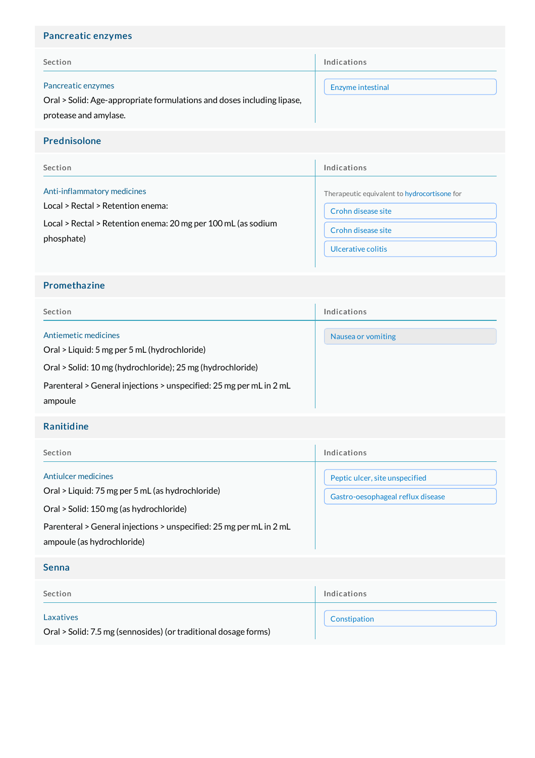# Pancreatic enzymes

| Section                                                                                      | Indications       |
|----------------------------------------------------------------------------------------------|-------------------|
| Pancreatic enzymes<br>Oral > Solid: Age-appropriate formulations and doses including lipase, | Enzyme intestinal |
| protease and amylase.                                                                        |                   |

### Prednisolone

| Section                                                       | Indications                                  |
|---------------------------------------------------------------|----------------------------------------------|
| Anti-inflammatory medicines                                   | Therapeutic equivalent to hydrocortisone for |
| Local > Rectal > Retention enema:                             | Crohn disease site                           |
| Local > Rectal > Retention enema: 20 mg per 100 mL (as sodium | Crohn disease site                           |
| phosphate)                                                    | Ulcerative colitis                           |

## Promethazine

| Section                                                              | Indications        |
|----------------------------------------------------------------------|--------------------|
| Antiemetic medicines<br>Oral > Liquid: 5 mg per 5 mL (hydrochloride) | Nausea or vomiting |
| Oral > Solid: 10 mg (hydrochloride); 25 mg (hydrochloride)           |                    |
| Parenteral > General injections > unspecified: 25 mg per mL in 2 mL  |                    |
| ampoule                                                              |                    |

## Ranitidine

| Section                                                                                                                                                                                                                 | Indications                                                         |
|-------------------------------------------------------------------------------------------------------------------------------------------------------------------------------------------------------------------------|---------------------------------------------------------------------|
| Antiulcer medicines<br>Oral > Liquid: 75 mg per 5 mL (as hydrochloride)<br>Oral > Solid: 150 mg (as hydrochloride)<br>Parenteral > General injections > unspecified: 25 mg per mL in 2 mL<br>ampoule (as hydrochloride) | Peptic ulcer, site unspecified<br>Gastro-oesophageal reflux disease |
| <b>Senna</b>                                                                                                                                                                                                            |                                                                     |
| Section                                                                                                                                                                                                                 | Indications                                                         |
| Laxatives<br>Oral > Solid: 7.5 mg (sennosides) (or traditional dosage forms)                                                                                                                                            | Constipation                                                        |